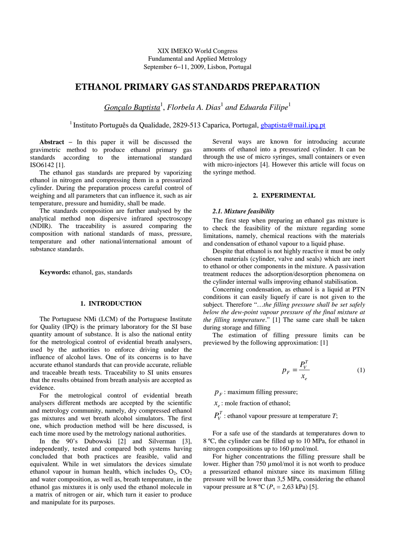XIX IMEKO World Congress Fundamental and Applied Metrology September 6−11, 2009, Lisbon, Portugal

# **ETHANOL PRIMARY GAS STANDARDS PREPARATION**

*Gonçalo Baptista*<sup>1</sup> , *Florbela A. Dias*<sup>1</sup> *and Eduarda Filipe*<sup>1</sup>

<sup>1</sup> Instituto Português da Qualidade, 2829-513 Caparica, Portugal, *gbaptista@mail.ipq.pt* 

**Abstract** − In this paper it will be discussed the gravimetric method to produce ethanol primary gas standards according to the international standard ISO6142 [1].

The ethanol gas standards are prepared by vaporizing ethanol in nitrogen and compressing them in a pressurized cylinder. During the preparation process careful control of weighing and all parameters that can influence it, such as air temperature, pressure and humidity, shall be made.

The standards composition are further analysed by the analytical method non dispersive infrared spectroscopy (NDIR). The traceability is assured comparing the composition with national standards of mass, pressure, temperature and other national/international amount of substance standards.

**Keywords:** ethanol, gas, standards

# **1. INTRODUCTION**

The Portuguese NMi (LCM) of the Portuguese Institute for Quality (IPQ) is the primary laboratory for the SI base quantity amount of substance. It is also the national entity for the metrological control of evidential breath analysers, used by the authorities to enforce driving under the influence of alcohol laws. One of its concerns is to have accurate ethanol standards that can provide accurate, reliable and traceable breath tests. Traceability to SI units ensures that the results obtained from breath analysis are accepted as evidence.

For the metrological control of evidential breath analysers different methods are accepted by the scientific and metrology community, namely, dry compressed ethanol gas mixtures and wet breath alcohol simulators. The first one, which production method will be here discussed, is each time more used by the metrology national authorities.

In the 90's Dubowski [2] and Silverman [3], independently, tested and compared both systems having concluded that both practices are feasible, valid and equivalent. While in wet simulators the devices simulate ethanol vapour in human health, which includes  $O_2$ ,  $CO_2$ and water composition, as well as, breath temperature, in the ethanol gas mixtures it is only used the ethanol molecule in a matrix of nitrogen or air, which turn it easier to produce and manipulate for its purposes.

Several ways are known for introducing accurate amounts of ethanol into a pressurized cylinder. It can be through the use of micro syringes, small containers or even with micro-injectors [4]. However this article will focus on the syringe method.

# **2. EXPERIMENTAL**

# *2.1. Mixture feasibility*

The first step when preparing an ethanol gas mixture is to check the feasibility of the mixture regarding some limitations, namely, chemical reactions with the materials and condensation of ethanol vapour to a liquid phase.

Despite that ethanol is not highly reactive it must be only chosen materials (cylinder, valve and seals) which are inert to ethanol or other components in the mixture. A passivation treatment reduces the adsorption/desorption phenomena on the cylinder internal walls improving ethanol stabilisation.

Concerning condensation, as ethanol is a liquid at PTN conditions it can easily liquefy if care is not given to the subject. Therefore "…*the filling pressure shall be set safely below the dew-point vapour pressure of the final mixture at the filling temperature*." [1] The same care shall be taken during storage and filling

The estimation of filling pressure limits can be previewed by the following approximation: [1]

$$
p_F = \frac{P_V^T}{x_e} \tag{1}
$$

 $p_F$ : maximum filling pressure;

 $x_e$ : mole fraction of ethanol;

 $P_V^T$ : ethanol vapour pressure at temperature *T*;

For a safe use of the standards at temperatures down to 8 ºC, the cylinder can be filled up to 10 MPa, for ethanol in nitrogen compositions up to 160 µmol/mol.

For higher concentrations the filling pressure shall be lower. Higher than 750 µmol/mol it is not worth to produce a pressurized ethanol mixture since its maximum filling pressure will be lower than 3,5 MPa, considering the ethanol vapour pressure at  $8 \text{ °C}$  ( $P_v = 2,63 \text{ kPa}$ ) [5].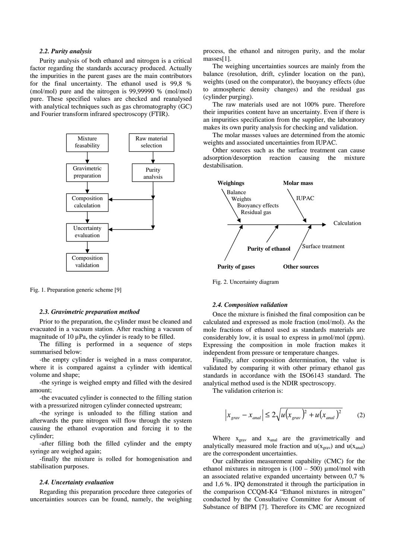### *2.2. Purity analysis*

Purity analysis of both ethanol and nitrogen is a critical factor regarding the standards accuracy produced. Actually the impurities in the parent gases are the main contributors for the final uncertainty. The ethanol used is 99,8 % (mol/mol) pure and the nitrogen is 99,99990 % (mol/mol) pure. These specified values are checked and reanalysed with analytical techniques such as gas chromatography (GC) and Fourier transform infrared spectroscopy (FTIR).



Fig. 1. Preparation generic scheme [9]

#### *2.3. Gravimetric preparation method*

Prior to the preparation, the cylinder must be cleaned and evacuated in a vacuum station. After reaching a vacuum of magnitude of  $10 \mu Pa$ , the cylinder is ready to be filled.

The filling is performed in a sequence of steps summarised below:

-the empty cylinder is weighed in a mass comparator, where it is compared against a cylinder with identical volume and shape;

-the syringe is weighed empty and filled with the desired amount;

-the evacuated cylinder is connected to the filling station with a pressurized nitrogen cylinder connected upstream;

-the syringe is unloaded to the filling station and afterwards the pure nitrogen will flow through the system causing the ethanol evaporation and forcing it to the cylinder;

-after filling both the filled cylinder and the empty syringe are weighed again;

-finally the mixture is rolled for homogenisation and stabilisation purposes.

## *2.4. Uncertainty evaluation*

Regarding this preparation procedure three categories of uncertainties sources can be found, namely, the weighing process, the ethanol and nitrogen purity, and the molar masses[1].

The weighing uncertainties sources are mainly from the balance (resolution, drift, cylinder location on the pan), weights (used on the comparator), the buoyancy effects (due to atmospheric density changes) and the residual gas (cylinder purging).

The raw materials used are not 100% pure. Therefore their impurities content have an uncertainty. Even if there is an impurities specification from the supplier, the laboratory makes its own purity analysis for checking and validation.

The molar masses values are determined from the atomic weights and associated uncertainties from IUPAC.

Other sources such as the surface treatment can cause adsorption/desorption reaction causing the mixture destabilisation.



Fig. 2. Uncertainty diagram

# *2.4. Composition validation*

Once the mixture is finished the final composition can be calculated and expressed as mole fraction (mol/mol). As the mole fractions of ethanol used as standards materials are considerably low, it is usual to express in µmol/mol (ppm). Expressing the composition in mole fraction makes it independent from pressure or temperature changes.

Finally, after composition determination, the value is validated by comparing it with other primary ethanol gas standards in accordance with the ISO6143 standard. The analytical method used is the NDIR spectroscopy.

The validation criterion is:

$$
\left|x_{grav} - x_{anal}\right| \leq 2\sqrt{u\left(x_{grav}\right)^2 + u\left(x_{anal}\right)^2} \tag{2}
$$

Where  $x_{grav}$  and  $x_{anal}$  are the gravimetrically and analytically measured mole fraction and  $u(x_{grav})$  and  $u(x_{anal})$ are the correspondent uncertainties.

Our calibration measurement capability (CMC) for the ethanol mixtures in nitrogen is  $(100 - 500)$  µmol/mol with an associated relative expanded uncertainty between 0,7 % and 1,6 %. IPQ demonstrated it through the participation in the comparison CCQM-K4 "Ethanol mixtures in nitrogen" conducted by the Consultative Committee for Amount of Substance of BIPM [7]. Therefore its CMC are recognized